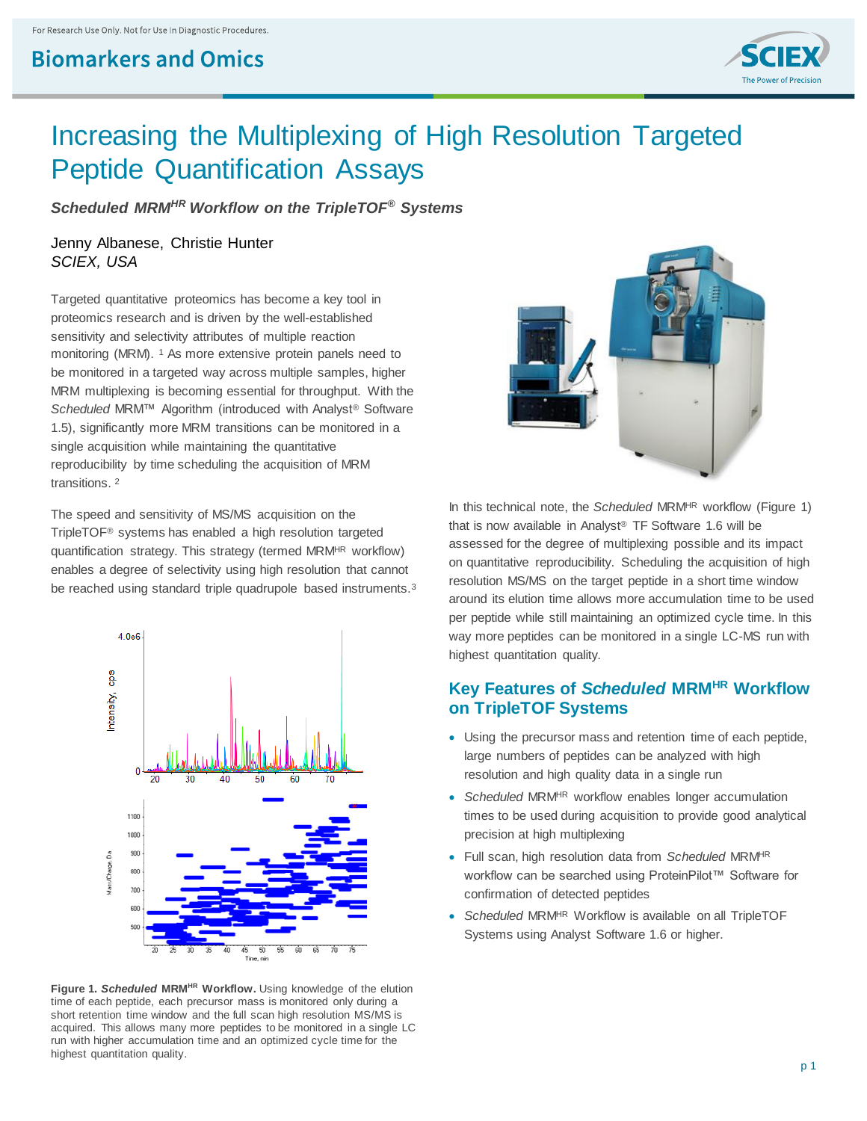## **Biomarkers and Omics**



# Increasing the Multiplexing of High Resolution Targeted Peptide Quantification Assays

*Scheduled MRMHR Workflow on the TripleTOF® Systems*

### Jenny Albanese, Christie Hunter *SCIEX, USA*

Targeted quantitative proteomics has become a key tool in proteomics research and is driven by the well-established sensitivity and selectivity attributes of multiple reaction monitoring (MRM). <sup>1</sup> As more extensive protein panels need to be monitored in a targeted way across multiple samples, higher MRM multiplexing is becoming essential for throughput. With the *Scheduled* MRM™ Algorithm (introduced with Analyst® Software 1.5), significantly more MRM transitions can be monitored in a single acquisition while maintaining the quantitative reproducibility by time scheduling the acquisition of MRM transitions. 2

The speed and sensitivity of MS/MS acquisition on the TripleTOF® systems has enabled a high resolution targeted quantification strategy. This strategy (termed MRM<sup>HR</sup> workflow) enables a degree of selectivity using high resolution that cannot be reached using standard triple quadrupole based instruments.<sup>3</sup>



**Figure 1.** *Scheduled* **MRMHR Workflow.** Using knowledge of the elution time of each peptide, each precursor mass is monitored only during a short retention time window and the full scan high resolution MS/MS is acquired. This allows many more peptides to be monitored in a single LC run with higher accumulation time and an optimized cycle time for the highest quantitation quality.



In this technical note, the *Scheduled* MRM<sup>HR</sup> workflow (Figure 1) that is now available in Analyst® TF Software 1.6 will be assessed for the degree of multiplexing possible and its impact on quantitative reproducibility. Scheduling the acquisition of high resolution MS/MS on the target peptide in a short time window around its elution time allows more accumulation time to be used per peptide while still maintaining an optimized cycle time. In this way more peptides can be monitored in a single LC-MS run with highest quantitation quality.

### **Key Features of** *Scheduled* **MRMHR Workflow on TripleTOF Systems**

- Using the precursor mass and retention time of each peptide, large numbers of peptides can be analyzed with high resolution and high quality data in a single run
- *Scheduled* MRM<sup>HR</sup> workflow enables longer accumulation times to be used during acquisition to provide good analytical precision at high multiplexing
- Full scan, high resolution data from *Scheduled* MRMHR workflow can be searched using ProteinPilot™ Software for confirmation of detected peptides
- *Scheduled* MRM<sup>HR</sup> Workflow is available on all TripleTOF Systems using Analyst Software 1.6 or higher.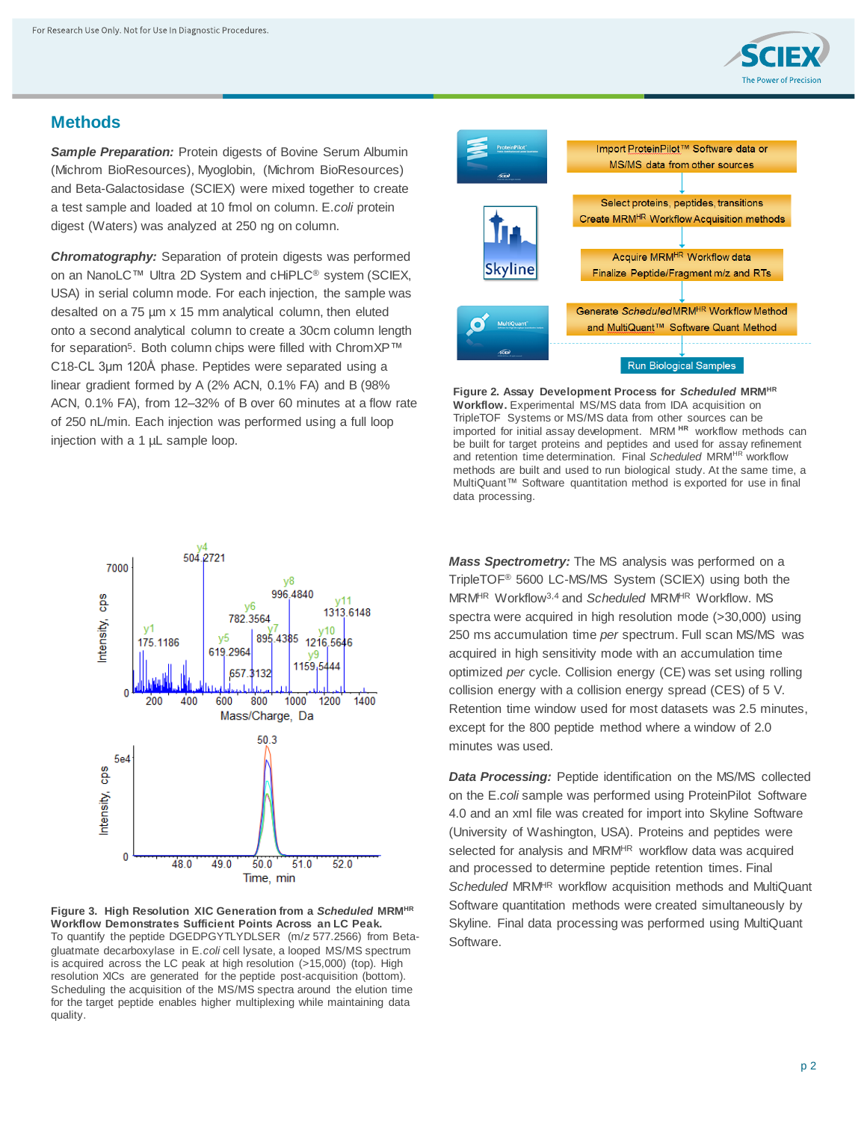

### **Methods**

**Sample Preparation:** Protein digests of Bovine Serum Albumin (Michrom BioResources), Myoglobin, (Michrom BioResources) and Beta-Galactosidase (SCIEX) were mixed together to create a test sample and loaded at 10 fmol on column. E.*coli* protein digest (Waters) was analyzed at 250 ng on column.

*Chromatography:* Separation of protein digests was performed on an NanoLC™ Ultra 2D System and cHiPLC® system (SCIEX, USA) in serial column mode. For each injection, the sample was desalted on a 75 µm x 15 mm analytical column, then eluted onto a second analytical column to create a 30cm column length for separation<sup>5</sup>. Both column chips were filled with ChromXP™ C18-CL 3μm 120Å phase. Peptides were separated using a linear gradient formed by A (2% ACN, 0.1% FA) and B (98% ACN, 0.1% FA), from 12–32% of B over 60 minutes at a flow rate of 250 nL/min. Each injection was performed using a full loop injection with a 1 µL sample loop.



**Figure 3. High Resolution XIC Generation from a** *Scheduled* **MRMHR Workflow Demonstrates Sufficient Points Across an LC Peak.** To quantify the peptide DGEDPGYTLYDLSER (m/*z* 577.2566) from Betagluatmate decarboxylase in E.*coli* cell lysate, a looped MS/MS spectrum is acquired across the LC peak at high resolution (>15,000) (top). High resolution XICs are generated for the peptide post-acquisition (bottom). Scheduling the acquisition of the MS/MS spectra around the elution time for the target peptide enables higher multiplexing while maintaining data quality.



**Figure 2. Assay Development Process for** *Scheduled* **MRMHR Workflow.** Experimental MS/MS data from IDA acquisition on TripleTOF Systems or MS/MS data from other sources can be imported for initial assay development. MRM **HR** workflow methods can be built for target proteins and peptides and used for assay refinement and retention time determination. Final *Scheduled* MRM<sup>HR</sup> workflow methods are built and used to run biological study. At the same time, a MultiQuant™ Software quantitation method is exported for use in final data processing.

*Mass Spectrometry:* The MS analysis was performed on a TripleTOF® 5600 LC-MS/MS System (SCIEX) using both the MRMHR Workflow3,4 and *Scheduled* MRMHR Workflow. MS spectra were acquired in high resolution mode (>30,000) using 250 ms accumulation time *per* spectrum. Full scan MS/MS was acquired in high sensitivity mode with an accumulation time optimized *per* cycle. Collision energy (CE) was set using rolling collision energy with a collision energy spread (CES) of 5 V. Retention time window used for most datasets was 2.5 minutes, except for the 800 peptide method where a window of 2.0 minutes was used.

*Data Processing:* Peptide identification on the MS/MS collected on the E.*coli* sample was performed using ProteinPilot Software 4.0 and an xml file was created for import into Skyline Software (University of Washington, USA). Proteins and peptides were selected for analysis and MRM<sup>HR</sup> workflow data was acquired and processed to determine peptide retention times. Final *Scheduled* MRMHR workflow acquisition methods and MultiQuant Software quantitation methods were created simultaneously by Skyline. Final data processing was performed using MultiQuant Software.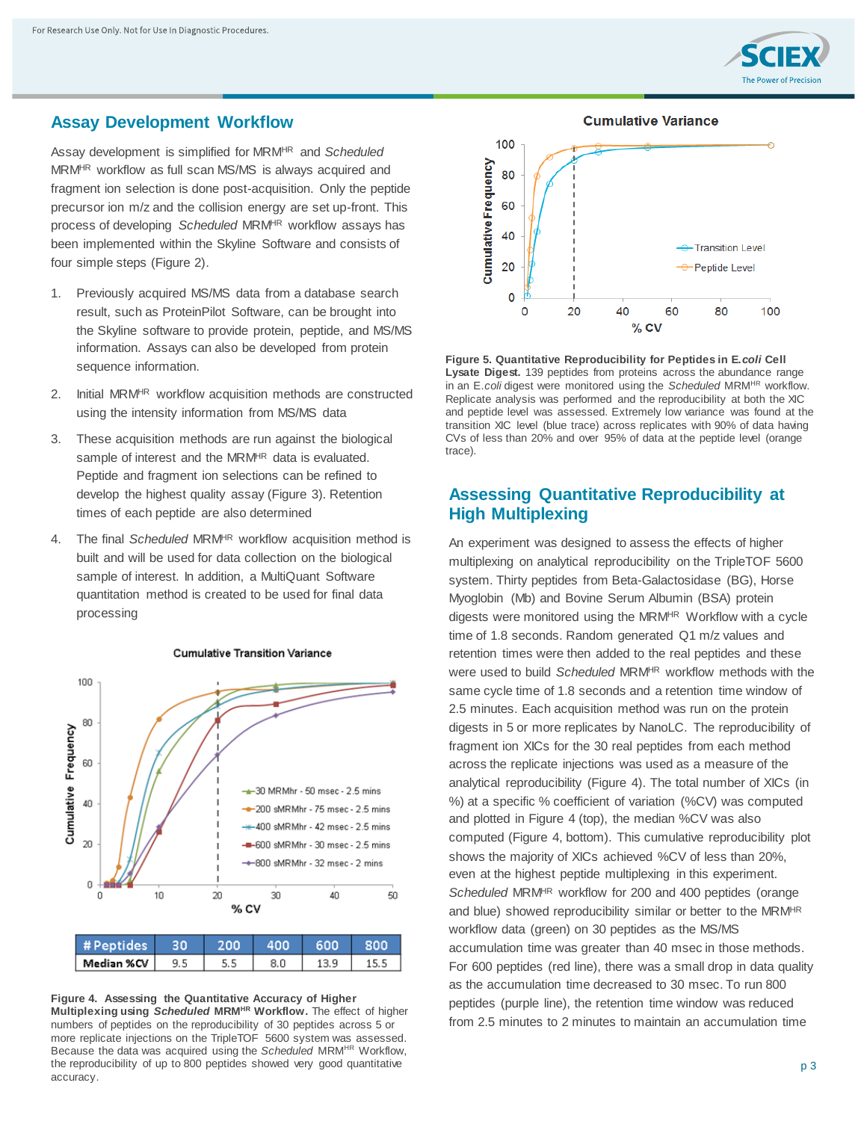

### **Assay Development Workflow**

Assay development is simplified for MRMHR and *Scheduled* MRMHR workflow as full scan MS/MS is always acquired and fragment ion selection is done post-acquisition. Only the peptide precursor ion m/z and the collision energy are set up-front. This process of developing *Scheduled* MRMHR workflow assays has been implemented within the Skyline Software and consists of four simple steps (Figure 2).

- 1. Previously acquired MS/MS data from a database search result, such as ProteinPilot Software, can be brought into the Skyline software to provide protein, peptide, and MS/MS information. Assays can also be developed from protein sequence information.
- 2. Initial MRM<sup>HR</sup> workflow acquisition methods are constructed using the intensity information from MS/MS data
- 3. These acquisition methods are run against the biological sample of interest and the MRM<sup>HR</sup> data is evaluated. Peptide and fragment ion selections can be refined to develop the highest quality assay (Figure 3). Retention times of each peptide are also determined
- 4. The final *Scheduled* MRM<sup>HR</sup> workflow acquisition method is built and will be used for data collection on the biological sample of interest. In addition, a MultiQuant Software quantitation method is created to be used for final data processing



#### **Cumulative Transition Variance**

Median %CV  $9.5$  $5.5$  $8.0$ 13.9 15.5

**Figure 4. Assessing the Quantitative Accuracy of Higher Multiplexing using** *Scheduled* **MRMHR Workflow.** The effect of higher numbers of peptides on the reproducibility of 30 peptides across 5 or more replicate injections on the TripleTOF 5600 system was assessed. Because the data was acquired using the *Scheduled* MRM<sup>HR</sup> Workflow, the reproducibility of up to 800 peptides showed very good quantitative accuracy.





**Figure 5. Quantitative Reproducibility for Peptides in E.***coli* **Cell Lysate Digest.** 139 peptides from proteins across the abundance range in an E.*coli* digest were monitored using the *Scheduled* MRM<sup>HR</sup> workflow. Replicate analysis was performed and the reproducibility at both the XIC and peptide level was assessed. Extremely low variance was found at the transition XIC level (blue trace) across replicates with 90% of data having CVs of less than 20% and over 95% of data at the peptide level (orange trace).

### **Assessing Quantitative Reproducibility at High Multiplexing**

An experiment was designed to assess the effects of higher multiplexing on analytical reproducibility on the TripleTOF 5600 system. Thirty peptides from Beta-Galactosidase (BG), Horse Myoglobin (Mb) and Bovine Serum Albumin (BSA) protein digests were monitored using the MRM<sup>HR</sup> Workflow with a cycle time of 1.8 seconds. Random generated Q1 m/z values and retention times were then added to the real peptides and these were used to build *Scheduled* MRMHR workflow methods with the same cycle time of 1.8 seconds and a retention time window of 2.5 minutes. Each acquisition method was run on the protein digests in 5 or more replicates by NanoLC. The reproducibility of fragment ion XICs for the 30 real peptides from each method across the replicate injections was used as a measure of the analytical reproducibility (Figure 4). The total number of XICs (in %) at a specific % coefficient of variation (%CV) was computed and plotted in Figure 4 (top), the median %CV was also computed (Figure 4, bottom). This cumulative reproducibility plot shows the majority of XICs achieved %CV of less than 20%, even at the highest peptide multiplexing in this experiment. *Scheduled* MRMHR workflow for 200 and 400 peptides (orange and blue) showed reproducibility similar or better to the MRM<sup>HR</sup> workflow data (green) on 30 peptides as the MS/MS accumulation time was greater than 40 msec in those methods. For 600 peptides (red line), there was a small drop in data quality as the accumulation time decreased to 30 msec. To run 800 peptides (purple line), the retention time window was reduced from 2.5 minutes to 2 minutes to maintain an accumulation time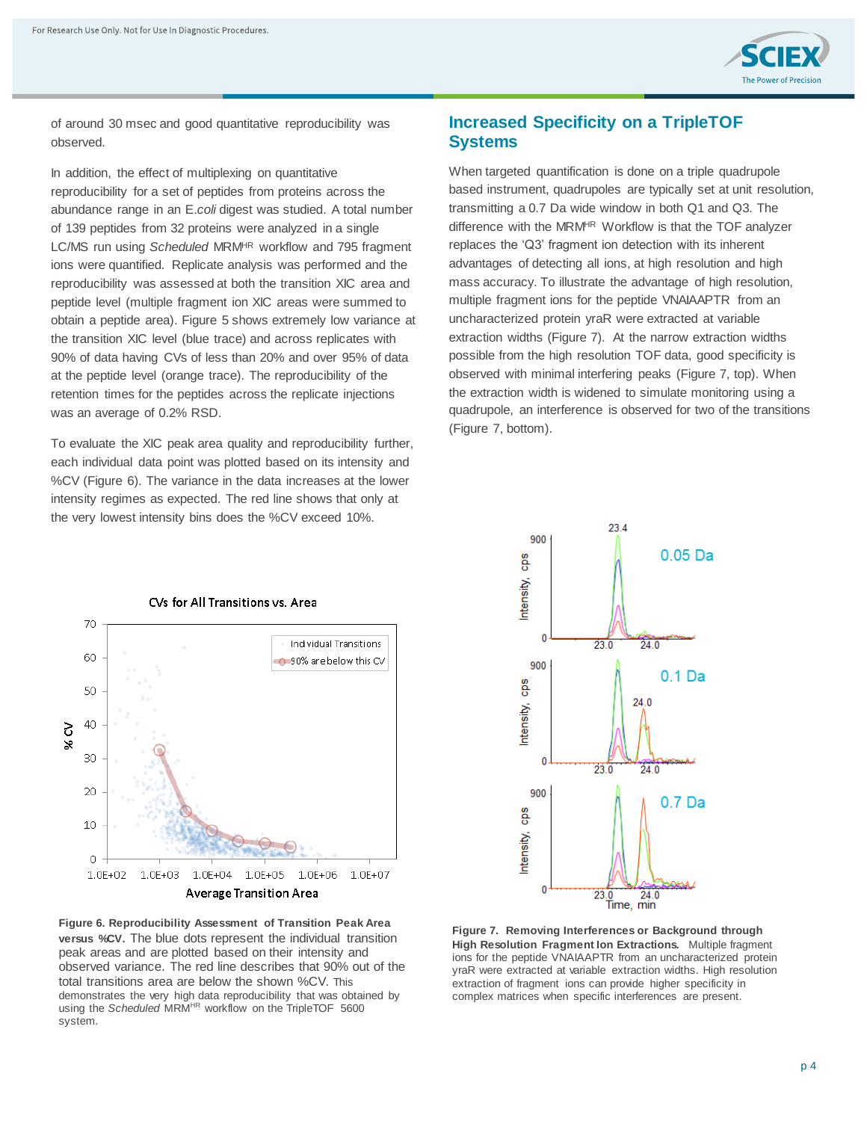

of around 30 msec and good quantitative reproducibility was observed.

In addition, the effect of multiplexing on quantitative reproducibility for a set of peptides from proteins across the abundance range in an E.*coli* digest was studied. A total number of 139 peptides from 32 proteins were analyzed in a single LC/MS run using *Scheduled* MRMHR workflow and 795 fragment ions were quantified. Replicate analysis was performed and the reproducibility was assessed at both the transition XIC area and peptide level (multiple fragment ion XIC areas were summed to obtain a peptide area). Figure 5 shows extremely low variance at the transition XIC level (blue trace) and across replicates with 90% of data having CVs of less than 20% and over 95% of data at the peptide level (orange trace). The reproducibility of the retention times for the peptides across the replicate injections was an average of 0.2% RSD.

To evaluate the XIC peak area quality and reproducibility further, each individual data point was plotted based on its intensity and %CV (Figure 6). The variance in the data increases at the lower intensity regimes as expected. The red line shows that only at the very lowest intensity bins does the %CV exceed 10%.

### **Increased Specificity on a TripleTOF Systems**

When targeted quantification is done on a triple quadrupole based instrument, quadrupoles are typically set at unit resolution, transmitting a 0.7 Da wide window in both Q1 and Q3. The difference with the MRM<sup>HR</sup> Workflow is that the TOF analyzer replaces the 'Q3' fragment ion detection with its inherent advantages of detecting all ions, at high resolution and high mass accuracy. To illustrate the advantage of high resolution, multiple fragment ions for the peptide VNAIAAPTR from an uncharacterized protein yraR were extracted at variable extraction widths (Figure 7). At the narrow extraction widths possible from the high resolution TOF data, good specificity is observed with minimal interfering peaks (Figure 7, top). When the extraction width is widened to simulate monitoring using a quadrupole, an interference is observed for two of the transitions (Figure 7, bottom).



**Figure 6. Reproducibility Assessment of Transition Peak Area versus %CV.** The blue dots represent the individual transition peak areas and are plotted based on their intensity and observed variance. The red line describes that 90% out of the total transitions area are below the shown %CV. This demonstrates the very high data reproducibility that was obtained by using the *Scheduled* MRM<sup>HR</sup> workflow on the TripleTOF 5600 system.



**Figure 7. Removing Interferences or Background through High Resolution Fragment Ion Extractions.** Multiple fragment ions for the peptide VNAIAAPTR from an uncharacterized protein yraR were extracted at variable extraction widths. High resolution extraction of fragment ions can provide higher specificity in complex matrices when specific interferences are present.